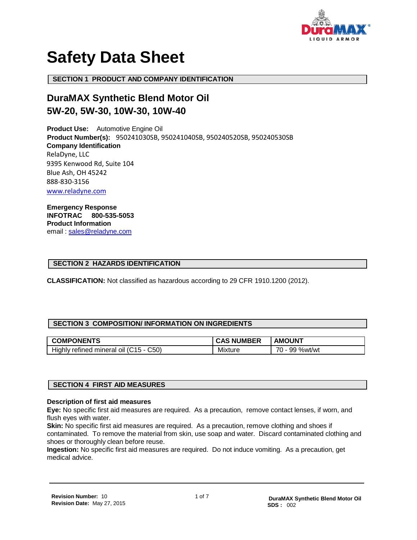

# **Safety Data Sheet**

**SECTION 1 PRODUCT AND COMPANY IDENTIFICATION**

## **DuraMAX Synthetic Blend Motor Oil 5W-20, 5W-30, 10W-30, 10W-40**

**Product Use:** Automotive Engine Oil  **Product Number(s):** 950241030SB, 950241040SB, 950240520SB, 950240530SB **Company Identification** RelaDyne, LLC 9395 Kenwood Rd, Suite 104 Blue Ash, OH 45242 888-830-3156 [www.reladyne.com](http://www.reladyne.com/)

**Emergency Response INFOTRAC 800-535-5053 Product Information** email: [sales@reladyne.com](mailto:sales@reladyne.com)

#### **SECTION 2 HAZARDS IDENTIFICATION**

**CLASSIFICATION:** Not classified as hazardous according to 29 CFR 1910.1200 (2012).

#### **SECTION 3 COMPOSITION/ INFORMATION ON INGREDIENTS**

| <b>COMPONENTS</b>                                 | <b>NUMBER</b><br>CAS | <b>AMOUNT</b>                        |
|---------------------------------------------------|----------------------|--------------------------------------|
| C50`<br>Highly refined mineral oil (C15 - $\circ$ | Mixture              | $\overline{z}$<br>%wt/wt<br>99<br>υ- |

#### **SECTION 4 FIRST AID MEASURES**

#### **Description of first aid measures**

**Eye:** No specific first aid measures are required. As a precaution, remove contact lenses, if worn, and flush eyes with water.

**Skin:** No specific first aid measures are required. As a precaution, remove clothing and shoes if contaminated. To remove the material from skin, use soap and water. Discard contaminated clothing and shoes or thoroughly clean before reuse.

**Ingestion:** No specific first aid measures are required. Do not induce vomiting. As a precaution, get medical advice.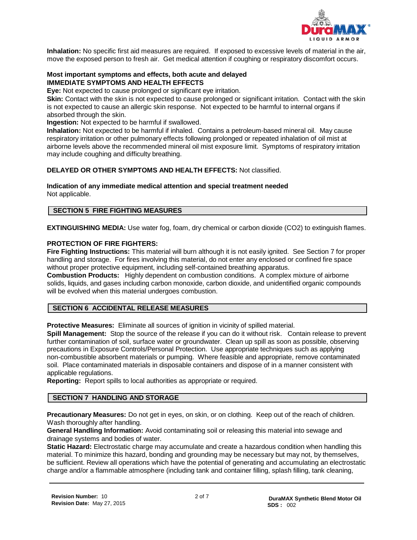

**Inhalation:** No specific first aid measures are required. If exposed to excessive levels of material in the air, move the exposed person to fresh air. Get medical attention if coughing or respiratory discomfort occurs.

#### **Most important symptoms and effects, both acute and delayed IMMEDIATE SYMPTOMS AND HEALTH EFFECTS**

**Eye:** Not expected to cause prolonged or significant eye irritation.

**Skin:** Contact with the skin is not expected to cause prolonged or significant irritation. Contact with the skin is not expected to cause an allergic skin response. Not expected to be harmful to internal organs if absorbed through the skin.

**Ingestion:** Not expected to be harmful if swallowed.

**Inhalation:** Not expected to be harmful if inhaled. Contains a petroleum-based mineral oil. May cause respiratory irritation or other pulmonary effects following prolonged or repeated inhalation of oil mist at airborne levels above the recommended mineral oil mist exposure limit. Symptoms of respiratory irritation may include coughing and difficulty breathing.

### **DELAYED OR OTHER SYMPTOMS AND HEALTH EFFECTS:** Not classified.

**Indication of any immediate medical attention and special treatment needed** Not applicable.

#### **SECTION 5 FIRE FIGHTING MEASURES**

**EXTINGUISHING MEDIA:** Use water fog, foam, dry chemical or carbon dioxide (CO2) to extinguish flames.

#### **PROTECTION OF FIRE FIGHTERS:**

**Fire Fighting Instructions:** This material will burn although it is not easily ignited. See Section 7 for proper handling and storage. For fires involving this material, do not enter any enclosed or confined fire space without proper protective equipment, including self-contained breathing apparatus.

**Combustion Products:** Highly dependent on combustion conditions. A complex mixture of airborne solids, liquids, and gases including carbon monoxide, carbon dioxide, and unidentified organic compounds will be evolved when this material undergoes combustion.

#### **SECTION 6 ACCIDENTAL RELEASE MEASURES**

**Protective Measures:** Eliminate all sources of ignition in vicinity of spilled material.

**Spill Management:** Stop the source of the release if you can do it without risk. Contain release to prevent further contamination of soil, surface water or groundwater. Clean up spill as soon as possible, observing precautions in Exposure Controls/Personal Protection. Use appropriate techniques such as applying non-combustible absorbent materials or pumping. Where feasible and appropriate, remove contaminated soil. Place contaminated materials in disposable containers and dispose of in a manner consistent with applicable regulations.

**Reporting:** Report spills to local authorities as appropriate or required.

#### **SECTION 7 HANDLING AND STORAGE**

**Precautionary Measures:** Do not get in eyes, on skin, or on clothing. Keep out of the reach of children. Wash thoroughly after handling.

**General Handling Information:** Avoid contaminating soil or releasing this material into sewage and drainage systems and bodies of water.

**Static Hazard:** Electrostatic charge may accumulate and create a hazardous condition when handling this material. To minimize this hazard, bonding and grounding may be necessary but may not, by themselves, be sufficient. Review all operations which have the potential of generating and accumulating an electrostatic charge and/or a flammable atmosphere (including tank and container filling, splash filling, tank cleaning,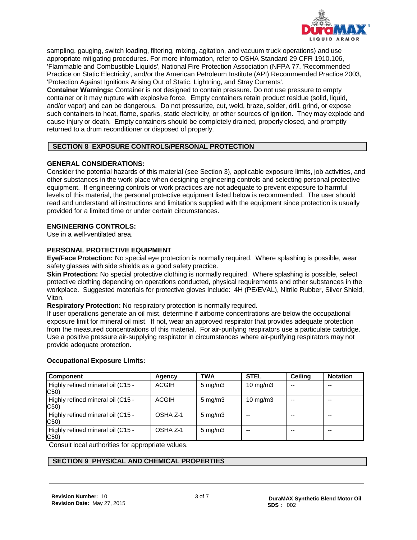

sampling, gauging, switch loading, filtering, mixing, agitation, and vacuum truck operations) and use appropriate mitigating procedures. For more information, refer to OSHA Standard 29 CFR 1910.106, 'Flammable and Combustible Liquids', National Fire Protection Association (NFPA 77, 'Recommended Practice on Static Electricity', and/or the American Petroleum Institute (API) Recommended Practice 2003, 'Protection Against Ignitions Arising Out of Static, Lightning, and Stray Currents'.

**Container Warnings:** Container is not designed to contain pressure. Do not use pressure to empty container or it may rupture with explosive force. Empty containers retain product residue (solid, liquid, and/or vapor) and can be dangerous. Do not pressurize, cut, weld, braze, solder, drill, grind, or expose such containers to heat, flame, sparks, static electricity, or other sources of ignition. They may explode and cause injury or death. Empty containers should be completely drained, properly closed, and promptly returned to a drum reconditioner or disposed of properly.

#### **SECTION 8 EXPOSURE CONTROLS/PERSONAL PROTECTION**

#### **GENERAL CONSIDERATIONS:**

Consider the potential hazards of this material (see Section 3), applicable exposure limits, job activities, and other substances in the work place when designing engineering controls and selecting personal protective equipment. If engineering controls or work practices are not adequate to prevent exposure to harmful levels of this material, the personal protective equipment listed below is recommended. The user should read and understand all instructions and limitations supplied with the equipment since protection is usually provided for a limited time or under certain circumstances.

#### **ENGINEERING CONTROLS:**

Use in a well-ventilated area.

#### **PERSONAL PROTECTIVE EQUIPMENT**

**Eye/Face Protection:** No special eye protection is normally required. Where splashing is possible, wear safety glasses with side shields as a good safety practice.

**Skin Protection:** No special protective clothing is normally required. Where splashing is possible, select protective clothing depending on operations conducted, physical requirements and other substances in the workplace. Suggested materials for protective gloves include: 4H (PE/EVAL), Nitrile Rubber, Silver Shield, Viton.

**Respiratory Protection:** No respiratory protection is normally required.

If user operations generate an oil mist, determine if airborne concentrations are below the occupational exposure limit for mineral oil mist. If not, wear an approved respirator that provides adequate protection from the measured concentrations of this material. For air-purifying respirators use a particulate cartridge. Use a positive pressure air-supplying respirator in circumstances where air-purifying respirators may not provide adequate protection.

#### **Occupational Exposure Limits:**

| <b>Component</b>                          | Agency       | <b>TWA</b>         | <b>STEL</b> | <b>Ceiling</b> | <b>Notation</b> |
|-------------------------------------------|--------------|--------------------|-------------|----------------|-----------------|
| Highly refined mineral oil (C15 -<br>C50) | <b>ACGIH</b> | $5 \text{ mg/m}$ 3 | 10 mg/m $3$ |                | --              |
| Highly refined mineral oil (C15 -<br>C50) | <b>ACGIH</b> | $5 \text{ mg/m}$   | 10 $mg/m3$  | --             | --              |
| Highly refined mineral oil (C15 -<br>C50) | OSHA Z-1     | $5 \text{ mg/m}$ 3 |             |                | --              |
| Highly refined mineral oil (C15 -<br>C50) | OSHA Z-1     | $5 \text{ mg/m}$ 3 | --          |                | $- -$           |

Consult local authorities for appropriate values.

### **SECTION 9 PHYSICAL AND CHEMICAL PROPERTIES**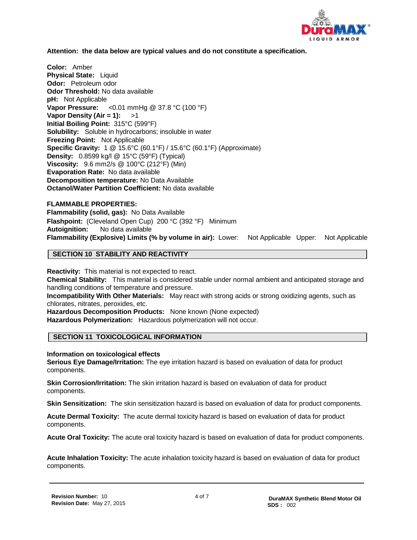

#### **Attention: the data below are typical values and do not constitute a specification.**

**Color:** Amber **Physical State:** Liquid **Odor:** Petroleum odor **Odor Threshold:** No data available **pH:** Not Applicable **Vapor Pressure:** <0.01 mmHg @ 37.8 °C (100 °F) **Vapor Density (Air = 1):** >1 **Initial Boiling Point:** 315°C (599°F) **Solubility:** Soluble in hydrocarbons; insoluble in water **Freezing Point:** Not Applicable **Specific Gravity:** 1 @ 15.6°C (60.1°F) / 15.6°C (60.1°F) (Approximate) **Density:** 0.8599 kg/l @ 15°C (59°F) (Typical) **Viscosity:** 9.6 mm2/s @ 100°C (212°F) (Min) **Evaporation Rate:** No data available **Decomposition temperature:** No Data Available **Octanol/Water Partition Coefficient:** No data available

#### **FLAMMABLE PROPERTIES:**

**Flammability (solid, gas):** No Data Available **Flashpoint:** (Cleveland Open Cup) 200 °C (392 °F) Minimum **Autoignition:** No data available **Flammability (Explosive) Limits (% by volume in air):** Lower: Not Applicable Upper: Not Applicable

#### **SECTION 10 STABILITY AND REACTIVITY**

**Reactivity:** This material is not expected to react. **Chemical Stability:** This material is considered stable under normal ambient and anticipated storage and handling conditions of temperature and pressure. **Incompatibility With Other Materials:** May react with strong acids or strong oxidizing agents, such as chlorates, nitrates, peroxides, etc. **Hazardous Decomposition Products:** None known (None expected) **Hazardous Polymerization:** Hazardous polymerization will not occur.

#### **SECTION 11 TOXICOLOGICAL INFORMATION**

**Information on toxicological effects**

**Serious Eye Damage/Irritation:** The eye irritation hazard is based on evaluation of data for product components.

**Skin Corrosion/Irritation:** The skin irritation hazard is based on evaluation of data for product components.

**Skin Sensitization:** The skin sensitization hazard is based on evaluation of data for product components.

**Acute Dermal Toxicity:** The acute dermal toxicity hazard is based on evaluation of data for product components.

**Acute Oral Toxicity:** The acute oral toxicity hazard is based on evaluation of data for product components.

**Acute Inhalation Toxicity:** The acute inhalation toxicity hazard is based on evaluation of data for product components.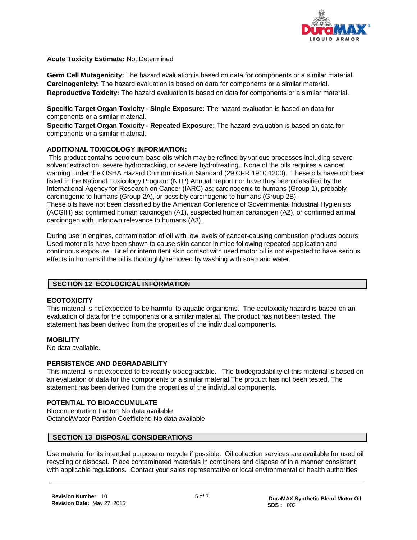

**Acute Toxicity Estimate:** Not Determined

**Germ Cell Mutagenicity:** The hazard evaluation is based on data for components or a similar material. **Carcinogenicity:** The hazard evaluation is based on data for components or a similar material. **Reproductive Toxicity:** The hazard evaluation is based on data for components or a similar material.

**Specific Target Organ Toxicity - Single Exposure:** The hazard evaluation is based on data for components or a similar material.

**Specific Target Organ Toxicity - Repeated Exposure:** The hazard evaluation is based on data for components or a similar material.

#### **ADDITIONAL TOXICOLOGY INFORMATION:**

This product contains petroleum base oils which may be refined by various processes including severe solvent extraction, severe hydrocracking, or severe hydrotreating. None of the oils requires a cancer warning under the OSHA Hazard Communication Standard (29 CFR 1910.1200). These oils have not been listed in the National Toxicology Program (NTP) Annual Report nor have they been classified by the International Agency for Research on Cancer (IARC) as; carcinogenic to humans (Group 1), probably carcinogenic to humans (Group 2A), or possibly carcinogenic to humans (Group 2B). These oils have not been classified by the American Conference of Governmental Industrial Hygienists (ACGIH) as: confirmed human carcinogen (A1), suspected human carcinogen (A2), or confirmed animal carcinogen with unknown relevance to humans (A3).

During use in engines, contamination of oil with low levels of cancer-causing combustion products occurs. Used motor oils have been shown to cause skin cancer in mice following repeated application and continuous exposure. Brief or intermittent skin contact with used motor oil is not expected to have serious effects in humans if the oil is thoroughly removed by washing with soap and water.

#### **SECTION 12 ECOLOGICAL INFORMATION**

#### **ECOTOXICITY**

This material is not expected to be harmful to aquatic organisms. The ecotoxicity hazard is based on an evaluation of data for the components or a similar material. The product has not been tested. The statement has been derived from the properties of the individual components.

#### **MOBILITY**

No data available.

#### **PERSISTENCE AND DEGRADABILITY**

This material is not expected to be readily biodegradable. The biodegradability of this material is based on an evaluation of data for the components or a similar material.The product has not been tested. The statement has been derived from the properties of the individual components.

#### **POTENTIAL TO BIOACCUMULATE**

Bioconcentration Factor: No data available. Octanol/Water Partition Coefficient: No data available

#### **SECTION 13 DISPOSAL CONSIDERATIONS**

Use material for its intended purpose or recycle if possible. Oil collection services are available for used oil recycling or disposal. Place contaminated materials in containers and dispose of in a manner consistent with applicable regulations. Contact your sales representative or local environmental or health authorities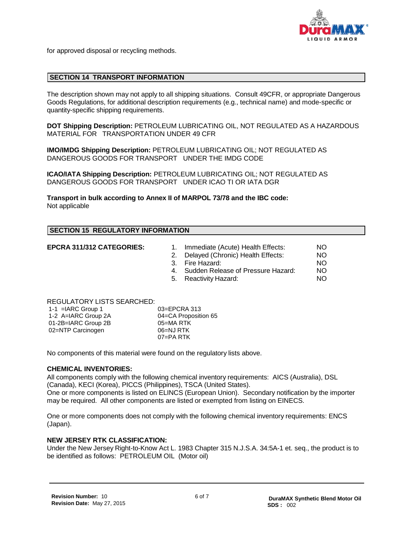

for approved disposal or recycling methods.

#### **SECTION 14 TRANSPORT INFORMATION**

The description shown may not apply to all shipping situations. Consult 49CFR, or appropriate Dangerous Goods Regulations, for additional description requirements (e.g., technical name) and mode-specific or quantity-specific shipping requirements.

**DOT Shipping Description:** PETROLEUM LUBRICATING OIL, NOT REGULATED AS A HAZARDOUS MATERIAL FOR TRANSPORTATION UNDER 49 CFR

**IMO/IMDG Shipping Description:** PETROLEUM LUBRICATING OIL; NOT REGULATED AS DANGEROUS GOODS FOR TRANSPORT UNDER THE IMDG CODE

**ICAO/IATA Shipping Description:** PETROLEUM LUBRICATING OIL; NOT REGULATED AS DANGEROUS GOODS FOR TRANSPORT UNDER ICAO TI OR IATA DGR

**Transport in bulk according to Annex II of MARPOL 73/78 and the IBC code:** Not applicable

#### **SECTION 15 REGULATORY INFORMATION**

- **EPCRA 311/312 CATEGORIES:** 1. Immediate (Acute) Health Effects: NO
	- 2. Delayed (Chronic) Health Effects: NO<br>3. Fire Hazard: NO
	-
	- 3. Fire Hazard: NO<br>3. Sudden Release of Pressure Hazard: NO 4. Sudden Release of Pressure Hazard:  $\overline{N}$  NO<br>5. Reactivity Hazard:  $\overline{N}$
	- 5. Reactivity Hazard:

#### REGULATORY LISTS SEARCHED:

| $1-1$ = IARC Group 1 | $03 = EPCRA$ 313     |
|----------------------|----------------------|
| 1-2 A=IARC Group 2A  | 04=CA Proposition 65 |
| 01-2B=IARC Group 2B  | 05=MA RTK            |
| 02=NTP Carcinogen    | 06=NJ RTK            |
|                      | $07 = PA$ RTK        |

No components of this material were found on the regulatory lists above.

#### **CHEMICAL INVENTORIES:**

All components comply with the following chemical inventory requirements: AICS (Australia), DSL (Canada), KECI (Korea), PICCS (Philippines), TSCA (United States).

One or more components is listed on ELINCS (European Union). Secondary notification by the importer may be required. All other components are listed or exempted from listing on EINECS.

One or more components does not comply with the following chemical inventory requirements: ENCS (Japan).

#### **NEW JERSEY RTK CLASSIFICATION:**

Under the New Jersey Right-to-Know Act L. 1983 Chapter 315 N.J.S.A. 34:5A-1 et. seq., the product is to be identified as follows: PETROLEUM OIL (Motor oil)